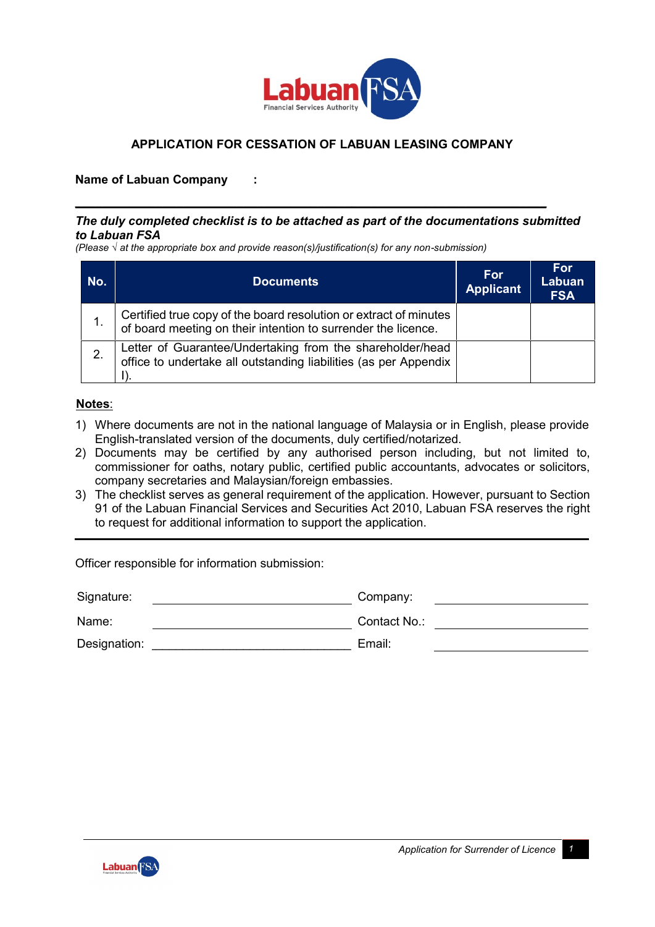

## **APPLICATION FOR CESSATION OF LABUAN LEASING COMPANY**

## **Name of Labuan Company :**

## *The duly completed checklist is to be attached as part of the documentations submitted to Labuan FSA*

**\_\_\_\_\_\_\_\_\_\_\_\_\_\_\_\_\_\_\_\_\_\_\_\_\_\_\_\_\_\_\_\_\_\_\_\_\_\_\_\_\_\_\_\_\_\_\_\_\_\_\_\_\_\_\_\_\_\_\_\_\_\_\_\_\_\_\_\_\_\_**

*(Please √ at the appropriate box and provide reason(s)/justification(s) for any non-submission)*

| No. | <b>Documents</b>                                                                                                                   | For<br><b>Applicant</b> | For<br>Labuan<br><b>FSA</b> |
|-----|------------------------------------------------------------------------------------------------------------------------------------|-------------------------|-----------------------------|
|     | Certified true copy of the board resolution or extract of minutes<br>of board meeting on their intention to surrender the licence. |                         |                             |
| 2.  | Letter of Guarantee/Undertaking from the shareholder/head<br>office to undertake all outstanding liabilities (as per Appendix      |                         |                             |

## **Notes**:

- 1) Where documents are not in the national language of Malaysia or in English, please provide English-translated version of the documents, duly certified/notarized.
- 2) Documents may be certified by any authorised person including, but not limited to, commissioner for oaths, notary public, certified public accountants, advocates or solicitors, company secretaries and Malaysian/foreign embassies.
- 3) The checklist serves as general requirement of the application. However, pursuant to Section 91 of the Labuan Financial Services and Securities Act 2010, Labuan FSA reserves the right to request for additional information to support the application.

Officer responsible for information submission:

| Signature:   | Company:     |
|--------------|--------------|
| Name:        | Contact No.: |
| Designation: | Email:       |